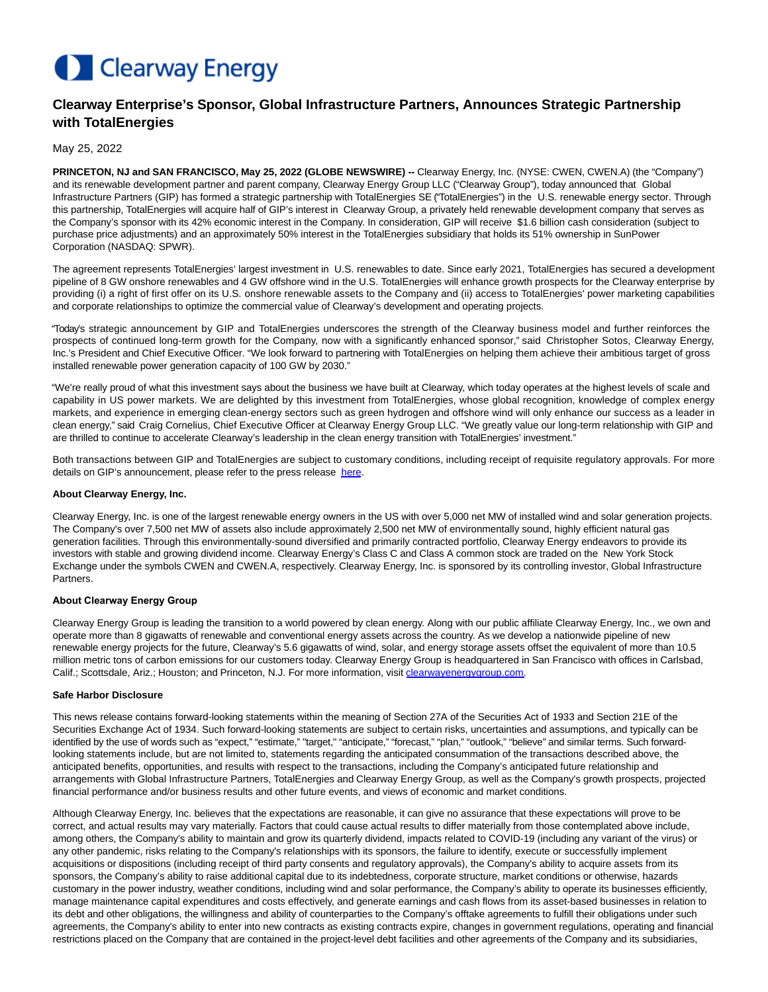# **Clearway Energy**

## **Clearway Enterprise's Sponsor, Global Infrastructure Partners, Announces Strategic Partnership with TotalEnergies**

May 25, 2022

**PRINCETON, NJ and SAN FRANCISCO, May 25, 2022 (GLOBE NEWSWIRE) --** Clearway Energy, Inc. (NYSE: CWEN, CWEN.A) (the "Company") and its renewable development partner and parent company, Clearway Energy Group LLC ("Clearway Group"), today announced that Global Infrastructure Partners (GIP) has formed a strategic partnership with TotalEnergies SE ("TotalEnergies") in the U.S. renewable energy sector. Through this partnership, TotalEnergies will acquire half of GIP's interest in Clearway Group, a privately held renewable development company that serves as the Company's sponsor with its 42% economic interest in the Company. In consideration, GIP will receive \$1.6 billion cash consideration (subject to purchase price adjustments) and an approximately 50% interest in the TotalEnergies subsidiary that holds its 51% ownership in SunPower Corporation (NASDAQ: SPWR).

The agreement represents TotalEnergies' largest investment in U.S. renewables to date. Since early 2021, TotalEnergies has secured a development pipeline of 8 GW onshore renewables and 4 GW offshore wind in the U.S. TotalEnergies will enhance growth prospects for the Clearway enterprise by providing (i) a right of first offer on its U.S. onshore renewable assets to the Company and (ii) access to TotalEnergies' power marketing capabilities and corporate relationships to optimize the commercial value of Clearway's development and operating projects.

"Today's strategic announcement by GIP and TotalEnergies underscores the strength of the Clearway business model and further reinforces the prospects of continued long-term growth for the Company, now with a significantly enhanced sponsor," said Christopher Sotos, Clearway Energy, Inc.'s President and Chief Executive Officer. "We look forward to partnering with TotalEnergies on helping them achieve their ambitious target of gross installed renewable power generation capacity of 100 GW by 2030."

"We're really proud of what this investment says about the business we have built at Clearway, which today operates at the highest levels of scale and capability in US power markets. We are delighted by this investment from TotalEnergies, whose global recognition, knowledge of complex energy markets, and experience in emerging clean-energy sectors such as green hydrogen and offshore wind will only enhance our success as a leader in clean energy," said Craig Cornelius, Chief Executive Officer at Clearway Energy Group LLC. "We greatly value our long-term relationship with GIP and are thrilled to continue to accelerate Clearway's leadership in the clean energy transition with TotalEnergies' investment."

Both transactions between GIP and TotalEnergies are subject to customary conditions, including receipt of requisite regulatory approvals. For more details on GIP's announcement, please refer to the press release [here.](https://www.globenewswire.com/Tracker?data=UY9OFKhszL5nvIgrKi_u8Zem7t8Ikv-C8hYXA7W1L3wFshpW2OzBS2ce-EpGiyahVoxlENEXa7jGb4O_UFYaPg==)

#### **About Clearway Energy, Inc.**

Clearway Energy, Inc. is one of the largest renewable energy owners in the US with over 5,000 net MW of installed wind and solar generation projects. The Company's over 7,500 net MW of assets also include approximately 2,500 net MW of environmentally sound, highly efficient natural gas generation facilities. Through this environmentally-sound diversified and primarily contracted portfolio, Clearway Energy endeavors to provide its investors with stable and growing dividend income. Clearway Energy's Class C and Class A common stock are traded on the New York Stock Exchange under the symbols CWEN and CWEN.A, respectively. Clearway Energy, Inc. is sponsored by its controlling investor, Global Infrastructure Partners.

### **About Clearway Energy Group**

Clearway Energy Group is leading the transition to a world powered by clean energy. Along with our public affiliate Clearway Energy, Inc., we own and operate more than 8 gigawatts of renewable and conventional energy assets across the country. As we develop a nationwide pipeline of new renewable energy projects for the future, Clearway's 5.6 gigawatts of wind, solar, and energy storage assets offset the equivalent of more than 10.5 million metric tons of carbon emissions for our customers today. Clearway Energy Group is headquartered in San Francisco with offices in Carlsbad, Calif.; Scottsdale, Ariz.; Houston; and Princeton, N.J. For more information, visit [clearwayenergygroup.com.](http://clearwayenergygroup.com/)

#### **Safe Harbor Disclosure**

This news release contains forward-looking statements within the meaning of Section 27A of the Securities Act of 1933 and Section 21E of the Securities Exchange Act of 1934. Such forward-looking statements are subject to certain risks, uncertainties and assumptions, and typically can be identified by the use of words such as "expect," "estimate," "target," "anticipate," "forecast," "plan," "outlook," "believe" and similar terms. Such forwardlooking statements include, but are not limited to, statements regarding the anticipated consummation of the transactions described above, the anticipated benefits, opportunities, and results with respect to the transactions, including the Company's anticipated future relationship and arrangements with Global Infrastructure Partners, TotalEnergies and Clearway Energy Group, as well as the Company's growth prospects, projected financial performance and/or business results and other future events, and views of economic and market conditions.

Although Clearway Energy, Inc. believes that the expectations are reasonable, it can give no assurance that these expectations will prove to be correct, and actual results may vary materially. Factors that could cause actual results to differ materially from those contemplated above include, among others, the Company's ability to maintain and grow its quarterly dividend, impacts related to COVID-19 (including any variant of the virus) or any other pandemic, risks relating to the Company's relationships with its sponsors, the failure to identify, execute or successfully implement acquisitions or dispositions (including receipt of third party consents and regulatory approvals), the Company's ability to acquire assets from its sponsors, the Company's ability to raise additional capital due to its indebtedness, corporate structure, market conditions or otherwise, hazards customary in the power industry, weather conditions, including wind and solar performance, the Company's ability to operate its businesses efficiently, manage maintenance capital expenditures and costs effectively, and generate earnings and cash flows from its asset-based businesses in relation to its debt and other obligations, the willingness and ability of counterparties to the Company's offtake agreements to fulfill their obligations under such agreements, the Company's ability to enter into new contracts as existing contracts expire, changes in government regulations, operating and financial restrictions placed on the Company that are contained in the project-level debt facilities and other agreements of the Company and its subsidiaries,